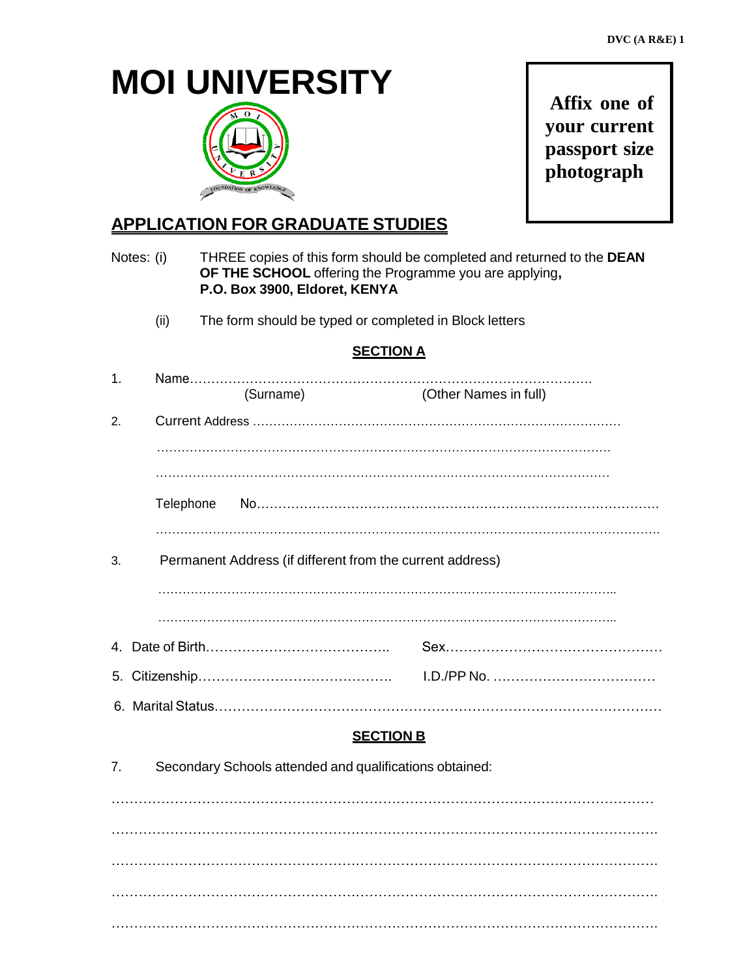# **MOI UNIVERSITY**



**Affix one of your current passport size photograph**

## **APPLICATION FOR GRADUATE STUDIES**

- Notes: (i) THREE copies of this form should be completed and returned to the **DEAN OF THE SCHOOL** offering the Programme you are applying**, P.O. Box 3900, Eldoret, KENYA**
	- (ii) The form should be typed or completed in Block letters

### **SECTION A**

| 1.               |           | (Surname)                                                 | (Other Names in full) |  |
|------------------|-----------|-----------------------------------------------------------|-----------------------|--|
| 2.               |           |                                                           |                       |  |
|                  |           |                                                           |                       |  |
|                  | Telephone |                                                           |                       |  |
| 3.               |           | Permanent Address (if different from the current address) |                       |  |
|                  |           |                                                           |                       |  |
|                  |           |                                                           |                       |  |
|                  |           |                                                           |                       |  |
|                  |           |                                                           |                       |  |
|                  |           |                                                           |                       |  |
| <b>SECTION B</b> |           |                                                           |                       |  |
| 7 <sub>1</sub>   |           | Secondary Schools attended and qualifications obtained:   |                       |  |

………………………………………………………………………………………………………… …………………………………………………………………………………………………………. …………………………………………………………………………………………………………. . The contract of the contract of the contract of the contract of the contract of the contract of the contract of the contract of the contract of the contract of the contract of the contract of the contract of the contrac ………………………………………………………………………………………………………….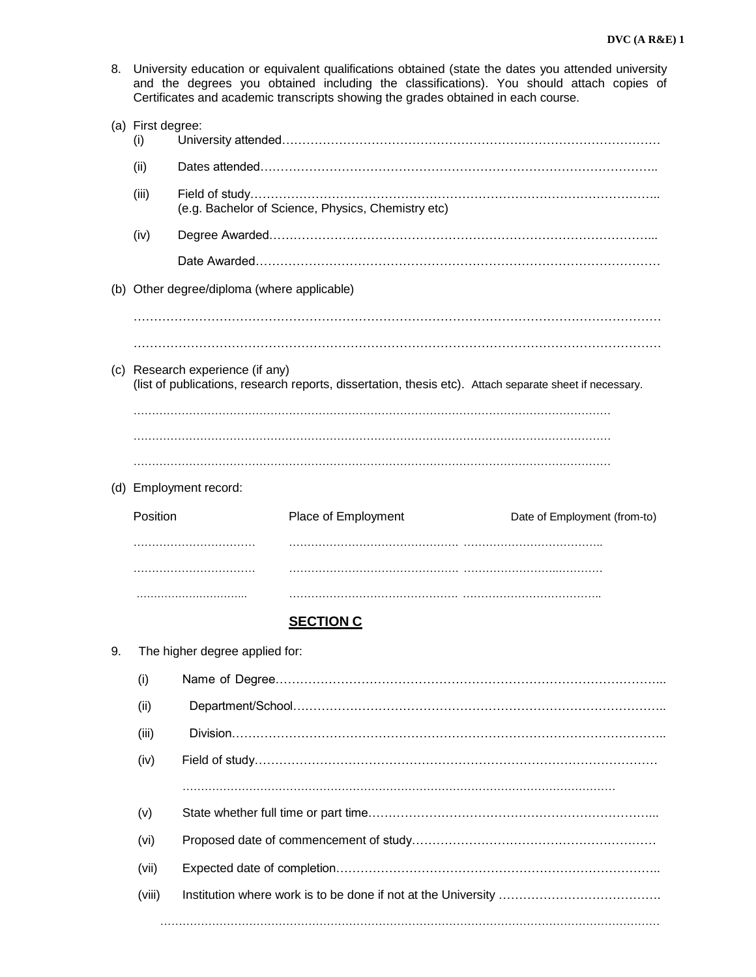8. University education or equivalent qualifications obtained (state the dates you attended university and the degrees you obtained including the classifications). You should attach copies of Certificates and academic transcripts showing the grades obtained in each course.

|    | (a) First degree:<br>(i)                                                                  |                                                    |                                                                                                         |  |  |  |
|----|-------------------------------------------------------------------------------------------|----------------------------------------------------|---------------------------------------------------------------------------------------------------------|--|--|--|
|    | (ii)                                                                                      |                                                    |                                                                                                         |  |  |  |
|    | (iii)                                                                                     | (e.g. Bachelor of Science, Physics, Chemistry etc) |                                                                                                         |  |  |  |
|    | (iv)                                                                                      |                                                    |                                                                                                         |  |  |  |
|    |                                                                                           |                                                    |                                                                                                         |  |  |  |
|    | (b) Other degree/diploma (where applicable)                                               |                                                    |                                                                                                         |  |  |  |
|    |                                                                                           |                                                    |                                                                                                         |  |  |  |
|    |                                                                                           | (c) Research experience (if any)                   | (list of publications, research reports, dissertation, thesis etc). Attach separate sheet if necessary. |  |  |  |
|    | (d) Employment record:<br>Position<br>Place of Employment<br>Date of Employment (from-to) |                                                    |                                                                                                         |  |  |  |
|    |                                                                                           |                                                    |                                                                                                         |  |  |  |
|    |                                                                                           |                                                    |                                                                                                         |  |  |  |
|    |                                                                                           |                                                    |                                                                                                         |  |  |  |
|    |                                                                                           |                                                    | <b>SECTION C</b>                                                                                        |  |  |  |
| 9. | The higher degree applied for:                                                            |                                                    |                                                                                                         |  |  |  |
|    | (i)                                                                                       |                                                    |                                                                                                         |  |  |  |
|    | (ii)                                                                                      |                                                    |                                                                                                         |  |  |  |
|    | (iii)                                                                                     |                                                    |                                                                                                         |  |  |  |
|    | (iv)                                                                                      |                                                    |                                                                                                         |  |  |  |
|    | (v)                                                                                       |                                                    |                                                                                                         |  |  |  |
|    | (vi)                                                                                      |                                                    |                                                                                                         |  |  |  |
|    | (vii)                                                                                     |                                                    |                                                                                                         |  |  |  |
|    | (viii)                                                                                    |                                                    |                                                                                                         |  |  |  |
|    |                                                                                           |                                                    |                                                                                                         |  |  |  |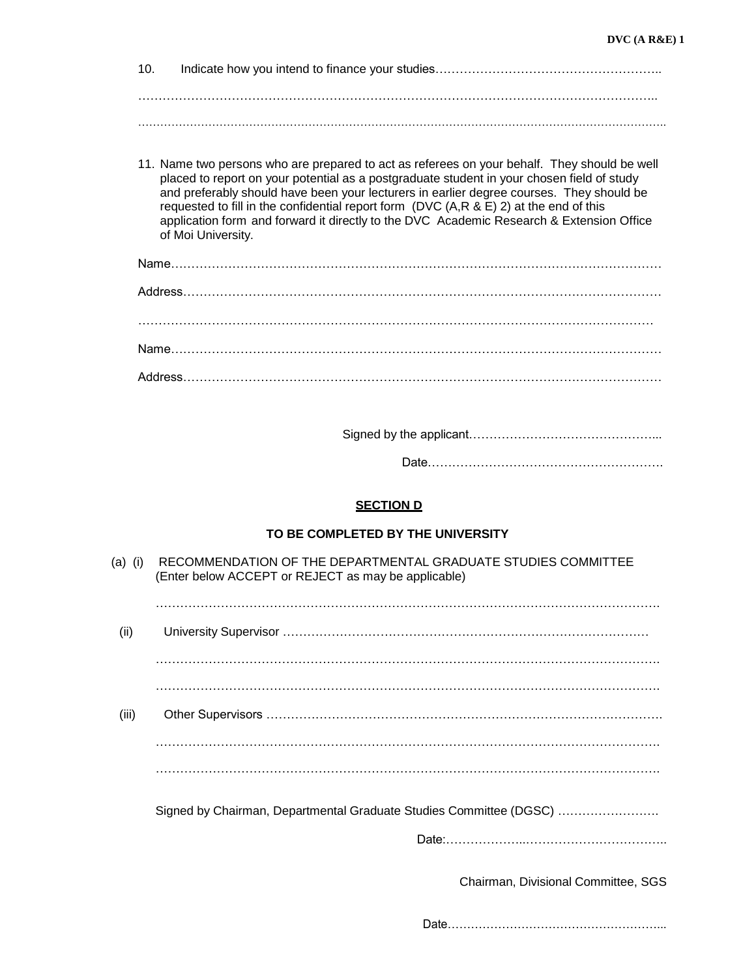10. Indicate how you intend to finance your studies……………………………………………….. ……………………………………………………………………………………………………………….. ……………………………………………………………………………………………………………………………..

11. Name two persons who are prepared to act as referees on your behalf. They should be well placed to report on your potential as a postgraduate student in your chosen field of study and preferably should have been your lecturers in earlier degree courses. They should be requested to fill in the confidential report form (DVC  $(A, R & E)$  2) at the end of this application form and forward it directly to the DVC Academic Research & Extension Office of Moi University.

Signed by the applicant………………………………………...

#### **SECTION D**

#### **TO BE COMPLETED BY THE UNIVERSITY**

(a) (i) RECOMMENDATION OF THE DEPARTMENTAL GRADUATE STUDIES COMMITTEE (Enter below ACCEPT or REJECT as may be applicable)

| (ii)  |                                                                    |
|-------|--------------------------------------------------------------------|
|       |                                                                    |
|       |                                                                    |
| (iii) |                                                                    |
|       |                                                                    |
|       |                                                                    |
|       | Signed by Chairman, Departmental Graduate Studies Committee (DGSC) |
|       |                                                                    |
|       | Chairman, Divisional Committee, SGS                                |

Date………………………………………………...